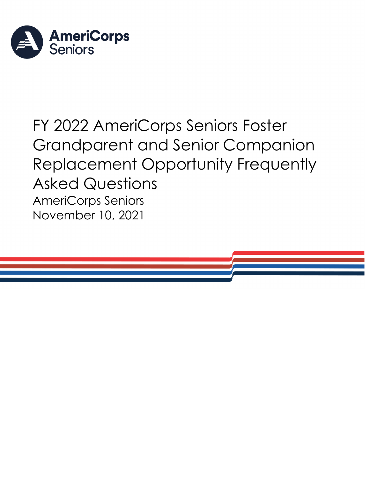

# FY 2022 AmeriCorps Seniors Foster Grandparent and Senior Companion Replacement Opportunity Frequently Asked Questions AmeriCorps Seniors November 10, 2021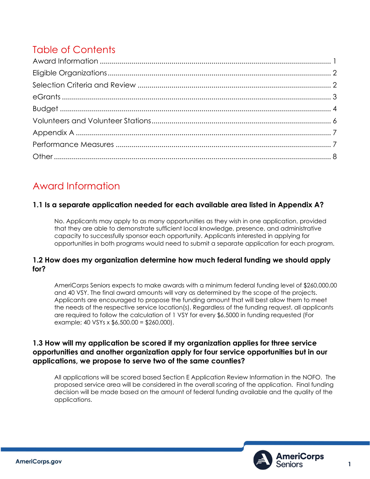# Table of Contents

# <span id="page-1-0"></span>Award Information

#### **1.1 Is a separate application needed for each available area listed in Appendix A?**

No. Applicants may apply to as many opportunities as they wish in one application, provided that they are able to demonstrate sufficient local knowledge, presence, and administrative capacity to successfully sponsor each opportunity. Applicants interested in applying for opportunities in both programs would need to submit a separate application for each program.

#### **1.2 How does my organization determine how much federal funding we should apply for?**

AmeriCorps Seniors expects to make awards with a minimum federal funding level of \$260,000.00 and 40 VSY. The final award amounts will vary as determined by the scope of the projects. Applicants are encouraged to propose the funding amount that will best allow them to meet the needs of the respective service location(s). Regardless of the funding request, all applicants are required to follow the calculation of 1 VSY for every \$6,5000 in funding requested (For example; 40 VSYs x \$6,500.00 = \$260,000).

#### **1.3 How will my application be scored if my organization applies for three service opportunities and another organization apply for four service opportunities but in our applications, we propose to serve two of the same counties?**

All applications will be scored based Section E Application Review Information in the NOFO. The proposed service area will be considered in the overall scoring of the application. Final funding decision will be made based on the amount of federal funding available and the quality of the applications.

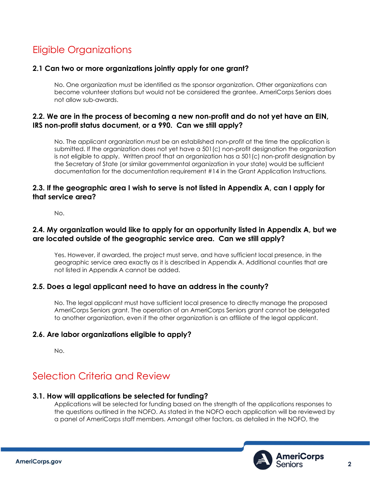# <span id="page-2-0"></span>Eligible Organizations

#### **2.1 Can two or more organizations jointly apply for one grant?**

No. One organization must be identified as the sponsor organization. Other organizations can become volunteer stations but would not be considered the grantee. AmeriCorps Seniors does not allow sub-awards.

#### **2.2. We are in the process of becoming a new non**‐**profit and do not yet have an EIN, IRS non**‐**profit status document, or a 990. Can we still apply?**

No. The applicant organization must be an established non‐profit at the time the application is submitted. If the organization does not yet have a 501(c) non‐profit designation the organization is not eligible to apply. Written proof that an organization has a 501(c) non-profit designation by the Secretary of State (or similar governmental organization in your state) would be sufficient documentation for the documentation requirement #14 in the Grant Application Instructions.

#### **2.3. If the geographic area I wish to serve is not listed in Appendix A, can I apply for that service area?**

No.

#### **2.4. My organization would like to apply for an opportunity listed in Appendix A, but we are located outside of the geographic service area. Can we still apply?**

Yes. However, if awarded, the project must serve, and have sufficient local presence, in the geographic service area exactly as it is described in Appendix A. Additional counties that are not listed in Appendix A cannot be added.

#### **2.5. Does a legal applicant need to have an address in the county?**

No. The legal applicant must have sufficient local presence to directly manage the proposed AmeriCorps Seniors grant. The operation of an AmeriCorps Seniors grant cannot be delegated to another organization, even if the other organization is an affiliate of the legal applicant.

#### **2.6. Are labor organizations eligible to apply?**

No.

# <span id="page-2-1"></span>Selection Criteria and Review

#### **3.1. How will applications be selected for funding?**

Applications will be selected for funding based on the strength of the applications responses to the questions outlined in the NOFO. As stated in the NOFO each application will be reviewed by a panel of AmeriCorps staff members. Amongst other factors, as detailed in the NOFO, the

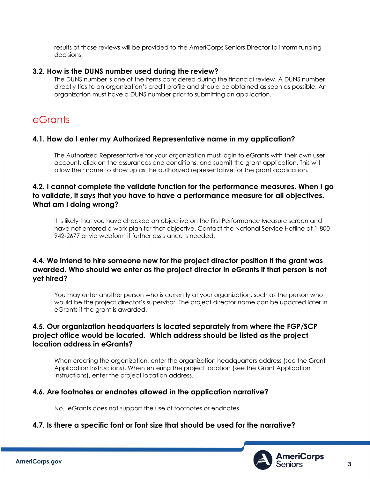results of those reviews will be provided to the AmeriCorps Seniors Director to inform funding decisions.

#### **3.2. How is the DUNS number used during the review?**

The DUNS number is one of the items considered during the financial review. A DUNS number directly ties to an organization's credit profile and should be obtained as soon as possible. An organization must have a DUNS number prior to submitting an application.

### <span id="page-3-0"></span>eGrants

#### **4.1. How do I enter my Authorized Representative name in my application?**

The Authorized Representative for your organization must login to eGrants with their own user account, click on the assurances and conditions, and submit the grant application. This will allow their name to show up as the authorized representative for the grant application.

#### **4.2. I cannot complete the validate function for the performance measures. When I go to validate, it says that you have to have a performance measure for all objectives. What am I doing wrong?**

It is likely that you have checked an objective on the first Performance Measure screen and have not entered a work plan for that objective. Contact the National Service Hotline at 1-800- 942-2677 or via webform if further assistance is needed.

#### **4.4. We intend to hire someone new for the project director position if the grant was awarded. Who should we enter as the project director in eGrants if that person is not yet hired?**

You may enter another person who is currently at your organization, such as the person who would be the project director's supervisor. The project director name can be updated later in eGrants if the grant is awarded.

#### **4.5. Our organization headquarters is located separately from where the FGP/SCP project office would be located. Which address should be listed as the project location address in eGrants?**

When creating the organization, enter the organization headquarters address (see the Grant Application Instructions). When entering the project location (see the Grant Application Instructions), enter the project location address.

#### **4.6. Are footnotes or endnotes allowed in the application narrative?**

No. eGrants does not support the use of footnotes or endnotes.

#### **4.7. Is there a specific font or font size that should be used for the narrative?**

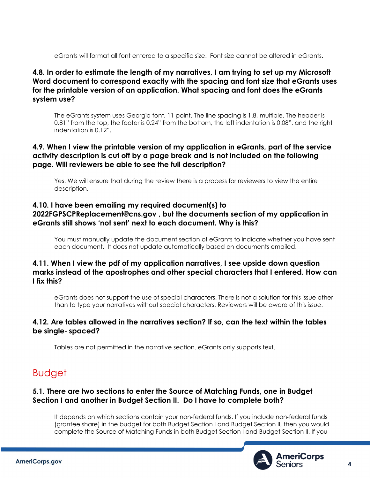eGrants will format all font entered to a specific size. Font size cannot be altered in eGrants.

#### **4.8. In order to estimate the length of my narratives, I am trying to set up my Microsoft Word document to correspond exactly with the spacing and font size that eGrants uses for the printable version of an application. What spacing and font does the eGrants system use?**

The eGrants system uses Georgia font, 11 point. The line spacing is 1.8, multiple. The header is 0.81" from the top, the footer is 0.24" from the bottom, the left indentation is 0.08", and the right indentation is 0.12".

#### **4.9. When I view the printable version of my application in eGrants, part of the service activity description is cut off by a page break and is not included on the following page. Will reviewers be able to see the full description?**

Yes. We will ensure that during the review there is a process for reviewers to view the entire description.

#### **4.10. I have been emailing my required document(s) to 2022FGPSCPReplacement@cns.gov , but the documents section of my application in eGrants still shows 'not sent' next to each document. Why is this?**

You must manually update the document section of eGrants to indicate whether you have sent each document. It does not update automatically based on documents emailed.

#### **4.11. When I view the pdf of my application narratives, I see upside down question marks instead of the apostrophes and other special characters that I entered. How can I fix this?**

eGrants does not support the use of special characters. There is not a solution for this issue other than to type your narratives without special characters. Reviewers will be aware of this issue.

#### **4.12. Are tables allowed in the narratives section? If so, can the text within the tables be single**‐ **spaced?**

Tables are not permitted in the narrative section. eGrants only supports text.

# <span id="page-4-0"></span>Budget

#### **5.1. There are two sections to enter the Source of Matching Funds, one in Budget Section I and another in Budget Section II. Do I have to complete both?**

It depends on which sections contain your non‐federal funds. If you include non‐federal funds (grantee share) in the budget for both Budget Section I and Budget Section II, then you would complete the Source of Matching Funds in both Budget Section I and Budget Section II. If you

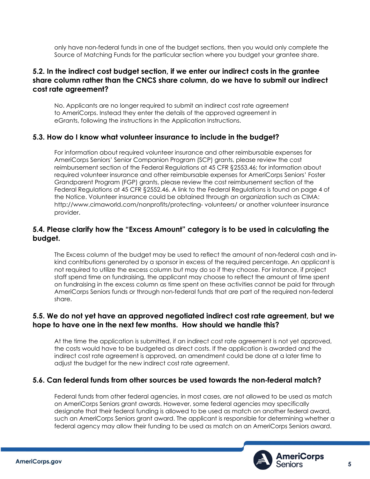only have non‐federal funds in one of the budget sections, then you would only complete the Source of Matching Funds for the particular section where you budget your grantee share.

#### **5.2. In the indirect cost budget section, if we enter our indirect costs in the grantee share column rather than the CNCS share column, do we have to submit our indirect cost rate agreement?**

No. Applicants are no longer required to submit an indirect cost rate agreement to AmeriCorps. Instead they enter the details of the approved agreement in eGrants, following the instructions in the Application Instructions.

#### **5.3. How do I know what volunteer insurance to include in the budget?**

For information about required volunteer insurance and other reimbursable expenses for AmeriCorps Seniors' Senior Companion Program (SCP) grants, please review the cost reimbursement section of the Federal Regulations at 45 CFR §2553.46; for information about required volunteer insurance and other reimbursable expenses for AmeriCorps Seniors' Foster Grandparent Program (FGP) grants, please review the cost reimbursement section of the Federal Regulations at 45 CFR §2552.46. A link to the Federal Regulations is found on page 4 of the Notice. Volunteer insurance could be obtained through an organization such as CIMA: http://www.cimaworld.com/nonprofits/protecting‐ volunteers/ or another volunteer insurance provider.

#### **5.4. Please clarify how the "Excess Amount" category is to be used in calculating the budget.**

The Excess column of the budget may be used to reflect the amount of non‐federal cash and in‐ kind contributions generated by a sponsor in excess of the required percentage. An applicant is not required to utilize the excess column but may do so if they choose. For instance, if project staff spend time on fundraising, the applicant may choose to reflect the amount of time spent on fundraising in the excess column as time spent on these activities cannot be paid for through AmeriCorps Seniors funds or through non‐federal funds that are part of the required non‐federal share.

#### **5.5. We do not yet have an approved negotiated indirect cost rate agreement, but we hope to have one in the next few months. How should we handle this?**

At the time the application is submitted, if an indirect cost rate agreement is not yet approved, the costs would have to be budgeted as direct costs. If the application is awarded and the indirect cost rate agreement is approved, an amendment could be done at a later time to adjust the budget for the new indirect cost rate agreement.

#### **5.6. Can federal funds from other sources be used towards the non**‐**federal match?**

Federal funds from other federal agencies, in most cases, are not allowed to be used as match on AmeriCorps Seniors grant awards. However, some federal agencies may specifically designate that their federal funding is allowed to be used as match on another federal award, such an AmeriCorps Seniors grant award. The applicant is responsible for determining whether a federal agency may allow their funding to be used as match on an AmeriCorps Seniors award.

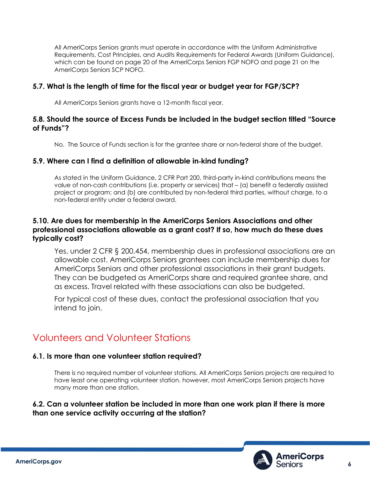All AmeriCorps Seniors grants must operate in accordance with the Uniform Administrative Requirements, Cost Principles, and Audits Requirements for Federal Awards (Uniform Guidance), which can be found on page 20 of the AmeriCorps Seniors FGP NOFO and page 21 on the AmeriCorps Seniors SCP NOFO.

#### **5.7. What is the length of time for the fiscal year or budget year for FGP/SCP?**

All AmeriCorps Seniors grants have a 12-month fiscal year.

#### **5.8. Should the source of Excess Funds be included in the budget section titled "Source of Funds"?**

No. The Source of Funds section is for the grantee share or non‐federal share of the budget.

#### **5.9. Where can I find a definition of allowable in**‐**kind funding?**

As stated in the Uniform Guidance, 2 CFR Part 200, third‐party in‐kind contributions means the value of non‐cash contributions (i.e. property or services) that – (a) benefit a federally assisted project or program; and (b) are contributed by non‐federal third parties, without charge, to a non‐federal entity under a federal award.

#### **5.10. Are dues for membership in the AmeriCorps Seniors Associations and other professional associations allowable as a grant cost? If so, how much do these dues typically cost?**

Yes, under 2 CFR § 200.454, membership dues in professional associations are an allowable cost. AmeriCorps Seniors grantees can include membership dues for AmeriCorps Seniors and other professional associations in their grant budgets. They can be budgeted as AmeriCorps share and required grantee share, and as excess. Travel related with these associations can also be budgeted.

For typical cost of these dues, contact the professional association that you intend to join.

# <span id="page-6-0"></span>Volunteers and Volunteer Stations

#### **6.1. Is more than one volunteer station required?**

There is no required number of volunteer stations. All AmeriCorps Seniors projects are required to have least one operating volunteer station. however, most AmeriCorps Seniors projects have many more than one station.

#### **6.2. Can a volunteer station be included in more than one work plan if there is more than one service activity occurring at the station?**

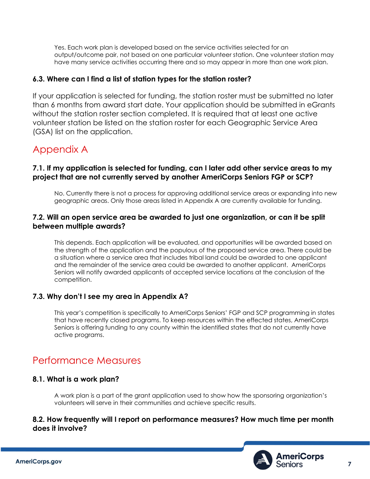Yes. Each work plan is developed based on the service activities selected for an output/outcome pair, not based on one particular volunteer station. One volunteer station may have many service activities occurring there and so may appear in more than one work plan.

#### **6.3. Where can I find a list of station types for the station roster?**

If your application is selected for funding, the station roster must be submitted no later than 6 months from award start date. Your application should be submitted in eGrants without the station roster section completed. It is required that at least one active volunteer station be listed on the station roster for each Geographic Service Area (GSA) list on the application.

### <span id="page-7-0"></span>Appendix A

#### **7.1. If my application is selected for funding, can I later add other service areas to my project that are not currently served by another AmeriCorps Seniors FGP or SCP?**

No. Currently there is not a process for approving additional service areas or expanding into new geographic areas. Only those areas listed in Appendix A are currently available for funding.

#### **7.2. Will an open service area be awarded to just one organization, or can it be split between multiple awards?**

This depends. Each application will be evaluated, and opportunities will be awarded based on the strength of the application and the populous of the proposed service area. There could be a situation where a service area that includes tribal land could be awarded to one applicant and the remainder of the service area could be awarded to another applicant. AmeriCorps Seniors will notify awarded applicants of accepted service locations at the conclusion of the competition.

#### **7.3. Why don't I see my area in Appendix A?**

This year's competition is specifically to AmeriCorps Seniors' FGP and SCP programming in states that have recently closed programs. To keep resources within the effected states, AmeriCorps Seniors is offering funding to any county within the identified states that do not currently have active programs.

### <span id="page-7-1"></span>Performance Measures

#### **8.1. What is a work plan?**

A work plan is a part of the grant application used to show how the sponsoring organization's volunteers will serve in their communities and achieve specific results.

#### **8.2. How frequently will I report on performance measures? How much time per month does it involve?**